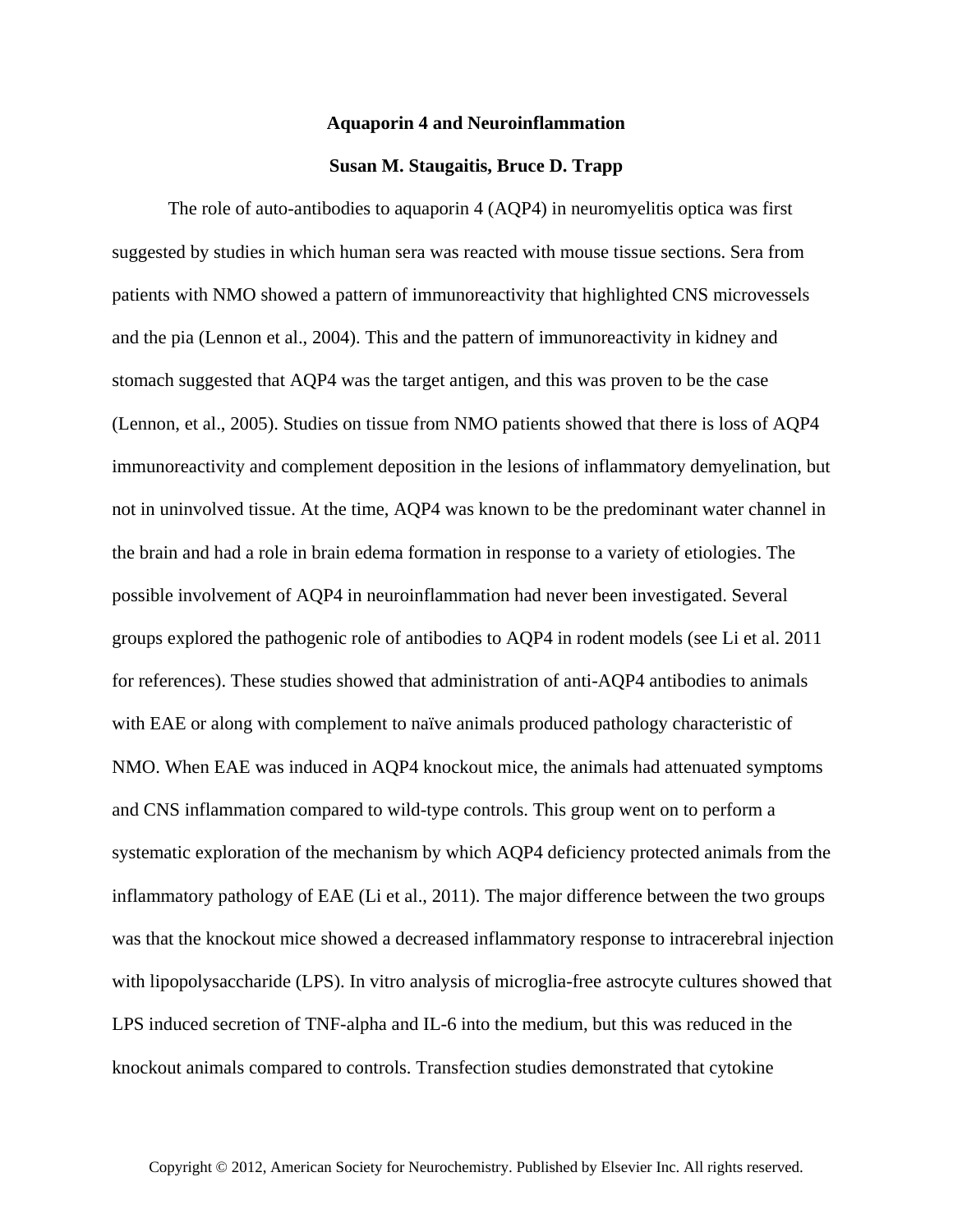## **Aquaporin 4 and Neuroinflammation**

## **Susan M. Staugaitis, Bruce D. Trapp**

The role of auto-antibodies to aquaporin 4 (AQP4) in neuromyelitis optica was first suggested by studies in which human sera was reacted with mouse tissue sections. Sera from patients with NMO showed a pattern of immunoreactivity that highlighted CNS microvessels and the pia (Lennon et al., 2004). This and the pattern of immunoreactivity in kidney and stomach suggested that AQP4 was the target antigen, and this was proven to be the case (Lennon, et al., 2005). Studies on tissue from NMO patients showed that there is loss of AQP4 immunoreactivity and complement deposition in the lesions of inflammatory demyelination, but not in uninvolved tissue. At the time, AQP4 was known to be the predominant water channel in the brain and had a role in brain edema formation in response to a variety of etiologies. The possible involvement of AQP4 in neuroinflammation had never been investigated. Several groups explored the pathogenic role of antibodies to AQP4 in rodent models (see Li et al. 2011 for references). These studies showed that administration of anti-AQP4 antibodies to animals with EAE or along with complement to naïve animals produced pathology characteristic of NMO. When EAE was induced in AQP4 knockout mice, the animals had attenuated symptoms and CNS inflammation compared to wild-type controls. This group went on to perform a systematic exploration of the mechanism by which AQP4 deficiency protected animals from the inflammatory pathology of EAE (Li et al., 2011). The major difference between the two groups was that the knockout mice showed a decreased inflammatory response to intracerebral injection with lipopolysaccharide (LPS). In vitro analysis of microglia-free astrocyte cultures showed that LPS induced secretion of TNF-alpha and IL-6 into the medium, but this was reduced in the knockout animals compared to controls. Transfection studies demonstrated that cytokine